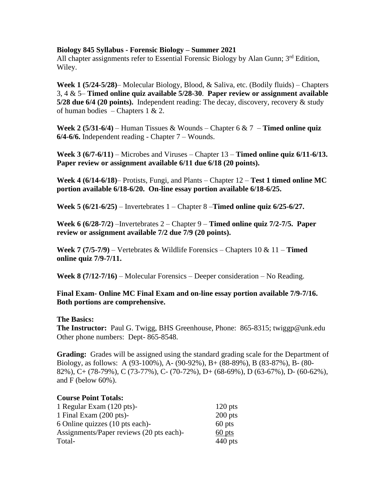#### **Biology 845 Syllabus - Forensic Biology – Summer 2021**

All chapter assignments refer to Essential Forensic Biology by Alan Gunn;  $3<sup>rd</sup>$  Edition, Wiley.

**Week 1 (5/24-5/28)**– Molecular Biology, Blood, & Saliva, etc. (Bodily fluids) – Chapters 3, 4 & 5– **Timed online quiz available 5/28-30**. **Paper review or assignment available 5/28 due 6/4 (20 points).** Independent reading: The decay, discovery, recovery & study of human bodies – Chapters 1 & 2.

**Week 2 (5/31-6/4)** – Human Tissues & Wounds – Chapter 6 & 7 – **Timed online quiz 6/4-6/6.** Independent reading - Chapter 7 – Wounds.

**Week 3 (6/7-6/11)** – Microbes and Viruses – Chapter 13 – **Timed online quiz 6/11-6/13. Paper review or assignment available 6/11 due 6/18 (20 points).**

**Week 4 (6/14-6/18)**– Protists, Fungi, and Plants – Chapter 12 – **Test 1 timed online MC portion available 6/18-6/20. On-line essay portion available 6/18-6/25.**

**Week 5 (6/21-6/25)** – Invertebrates 1 – Chapter 8 –**Timed online quiz 6/25-6/27.**

**Week 6 (6/28-7/2)** –Invertebrates 2 – Chapter 9 – **Timed online quiz 7/2-7/5. Paper review or assignment available 7/2 due 7/9 (20 points).**

**Week 7 (7/5-7/9)** – Vertebrates & Wildlife Forensics – Chapters 10 & 11 – **Timed online quiz 7/9-7/11.**

**Week 8 (7/12-7/16)** – Molecular Forensics – Deeper consideration – No Reading.

### **Final Exam- Online MC Final Exam and on-line essay portion available 7/9-7/16. Both portions are comprehensive.**

#### **The Basics:**

**The Instructor:** Paul G. Twigg, BHS Greenhouse, Phone: 865-8315; twiggp@unk.edu Other phone numbers: Dept- 865-8548.

**Grading:** Grades will be assigned using the standard grading scale for the Department of Biology, as follows: A (93-100%), A- (90-92%), B+ (88-89%), B (83-87%), B- (80- 82%), C+ (78-79%), C (73-77%), C- (70-72%), D+ (68-69%), D (63-67%), D- (60-62%), and F (below 60%).

| <b>Course Point Totals:</b>              |           |
|------------------------------------------|-----------|
| 1 Regular Exam (120 pts)-                | $120$ pts |
| 1 Final Exam (200 pts)-                  | $200$ pts |
| 6 Online quizzes (10 pts each)-          | 60 pts    |
| Assignments/Paper reviews (20 pts each)- | 60 pts    |
| Total-                                   | $440$ pts |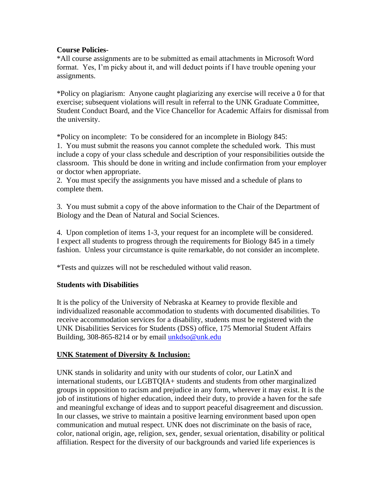### **Course Policies**-

\*All course assignments are to be submitted as email attachments in Microsoft Word format. Yes, I'm picky about it, and will deduct points if I have trouble opening your assignments.

\*Policy on plagiarism: Anyone caught plagiarizing any exercise will receive a 0 for that exercise; subsequent violations will result in referral to the UNK Graduate Committee, Student Conduct Board, and the Vice Chancellor for Academic Affairs for dismissal from the university.

\*Policy on incomplete: To be considered for an incomplete in Biology 845:

1. You must submit the reasons you cannot complete the scheduled work. This must include a copy of your class schedule and description of your responsibilities outside the classroom. This should be done in writing and include confirmation from your employer or doctor when appropriate.

2. You must specify the assignments you have missed and a schedule of plans to complete them.

3. You must submit a copy of the above information to the Chair of the Department of Biology and the Dean of Natural and Social Sciences.

4. Upon completion of items 1-3, your request for an incomplete will be considered. I expect all students to progress through the requirements for Biology 845 in a timely fashion. Unless your circumstance is quite remarkable, do not consider an incomplete.

\*Tests and quizzes will not be rescheduled without valid reason.

# **Students with Disabilities**

It is the policy of the University of Nebraska at Kearney to provide flexible and individualized reasonable accommodation to students with documented disabilities. To receive accommodation services for a disability, students must be registered with the UNK Disabilities Services for Students (DSS) office, 175 Memorial Student Affairs Building, 308-865-8214 or by email [unkdso@unk.edu](mailto:unkdso@unk.edu)

### **UNK Statement of Diversity & Inclusion:**

UNK stands in solidarity and unity with our students of color, our LatinX and international students, our LGBTQIA+ students and students from other marginalized groups in opposition to racism and prejudice in any form, wherever it may exist. It is the job of institutions of higher education, indeed their duty, to provide a haven for the safe and meaningful exchange of ideas and to support peaceful disagreement and discussion. In our classes, we strive to maintain a positive learning environment based upon open communication and mutual respect. UNK does not discriminate on the basis of race, color, national origin, age, religion, sex, gender, sexual orientation, disability or political affiliation. Respect for the diversity of our backgrounds and varied life experiences is